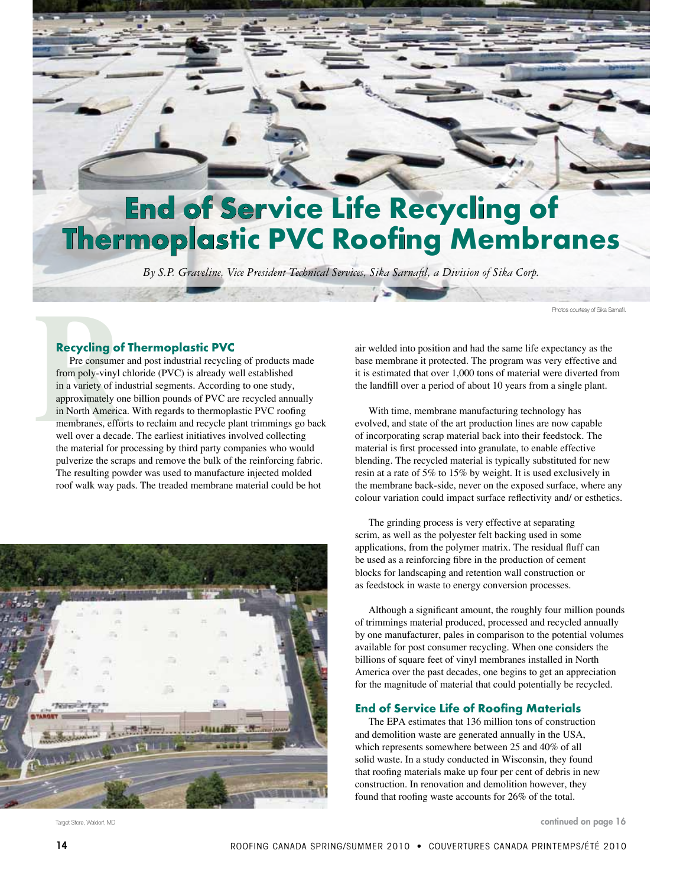# **End of Service Life Recycling of Thermoplastic PVC Roofing Membranes**

*By S.P. Graveline, Vice President Technical Services, Sika Sarnafil, a Division of Sika Corp.* 

Photos courtesy of Sika Sarnafil.

### **Recycling of Thermoplastic PVC**

**Recycling of**<br>Pre consumer<br>from poly-vinyl in<br>in a variety of ine<br>approximately or<br>in North America<br>membranes, effor<br>well over a decade Pre consumer and post industrial recycling of products made from poly-vinyl chloride (PVC) is already well established in a variety of industrial segments. According to one study, approximately one billion pounds of PVC are recycled annually in North America. With regards to thermoplastic PVC roofing membranes, efforts to reclaim and recycle plant trimmings go back well over a decade. The earliest initiatives involved collecting the material for processing by third party companies who would pulverize the scraps and remove the bulk of the reinforcing fabric. The resulting powder was used to manufacture injected molded roof walk way pads. The treaded membrane material could be hot



Target Store, Waldorf, MD

air welded into position and had the same life expectancy as the base membrane it protected. The program was very effective and it is estimated that over 1,000 tons of material were diverted from the landfill over a period of about 10 years from a single plant.

With time, membrane manufacturing technology has evolved, and state of the art production lines are now capable of incorporating scrap material back into their feedstock. The material is first processed into granulate, to enable effective blending. The recycled material is typically substituted for new resin at a rate of 5% to 15% by weight. It is used exclusively in the membrane back-side, never on the exposed surface, where any colour variation could impact surface reflectivity and/ or esthetics.

The grinding process is very effective at separating scrim, as well as the polyester felt backing used in some applications, from the polymer matrix. The residual fluff can be used as a reinforcing fibre in the production of cement blocks for landscaping and retention wall construction or as feedstock in waste to energy conversion processes.

Although a significant amount, the roughly four million pounds of trimmings material produced, processed and recycled annually by one manufacturer, pales in comparison to the potential volumes available for post consumer recycling. When one considers the billions of square feet of vinyl membranes installed in North America over the past decades, one begins to get an appreciation for the magnitude of material that could potentially be recycled.

### **End of Service Life of Roofing Materials**

The EPA estimates that 136 million tons of construction and demolition waste are generated annually in the USA, which represents somewhere between 25 and 40% of all solid waste. In a study conducted in Wisconsin, they found that roofing materials make up four per cent of debris in new construction. In renovation and demolition however, they found that roofing waste accounts for 26% of the total.

continued on page 16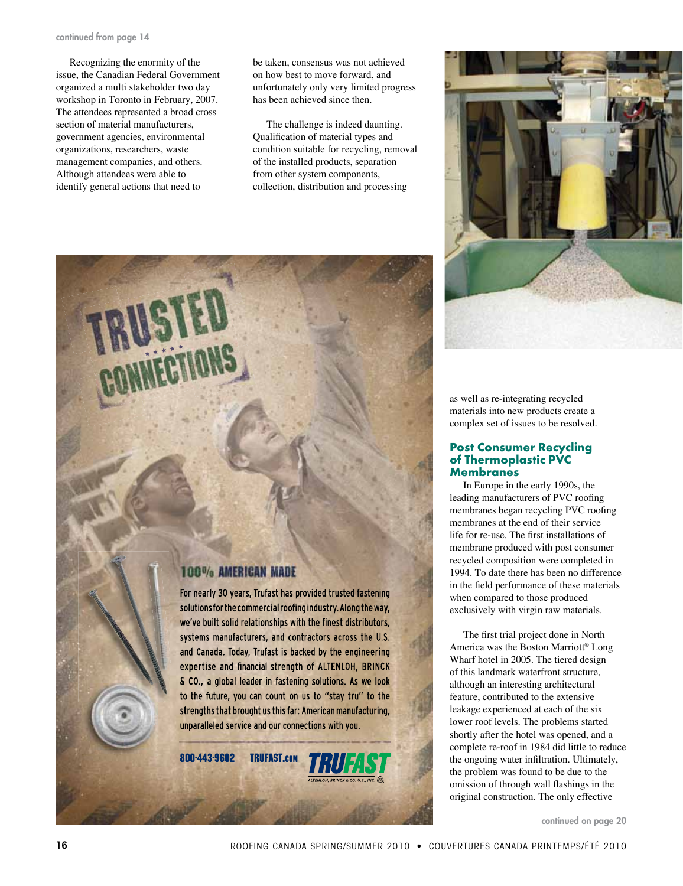#### continued from page 14

Recognizing the enormity of the issue, the Canadian Federal Government organized a multi stakeholder two day workshop in Toronto in February, 2007. The attendees represented a broad cross section of material manufacturers, government agencies, environmental organizations, researchers, waste management companies, and others. Although attendees were able to identify general actions that need to

be taken, consensus was not achieved on how best to move forward, and unfortunately only very limited progress has been achieved since then.

The challenge is indeed daunting. Qualification of material types and condition suitable for recycling, removal of the installed products, separation from other system components, collection, distribution and processing



as well as re-integrating recycled materials into new products create a complex set of issues to be resolved.

### **Post Consumer Recycling of Thermoplastic PVC Membranes**

In Europe in the early 1990s, the leading manufacturers of PVC roofing membranes began recycling PVC roofing membranes at the end of their service life for re-use. The first installations of membrane produced with post consumer recycled composition were completed in 1994. To date there has been no difference in the field performance of these materials when compared to those produced exclusively with virgin raw materials.

The first trial project done in North America was the Boston Marriott® Long Wharf hotel in 2005. The tiered design of this landmark waterfront structure, although an interesting architectural feature, contributed to the extensive leakage experienced at each of the six lower roof levels. The problems started shortly after the hotel was opened, and a complete re-roof in 1984 did little to reduce the ongoing water infiltration. Ultimately, the problem was found to be due to the omission of through wall flashings in the original construction. The only effective

continued on page 20

### **100% AMERICAN MADE**

For nearly 30 years, Trufast has provided trusted fastening solutions for the commercial roofing industry. Along the way, we've built solid relationships with the finest distributors, systems manufacturers, and contractors across the U.S. and Canada. Today, Trufast is backed by the engineering expertise and financial strength of ALTENLOH, BRINCK & CO., a global leader in fastening solutions. As we look to the future, you can count on us to "stay tru" to the strengths that brought us this far: American manufacturing, unparalleled service and our connections with you.

800-443-9602 **TRUFAST.com** 

16 ROOFING CANADA SpRING/SummeR 2010 • COuVeRTuReS CANADA pRINTempS/ÉTÉ 2010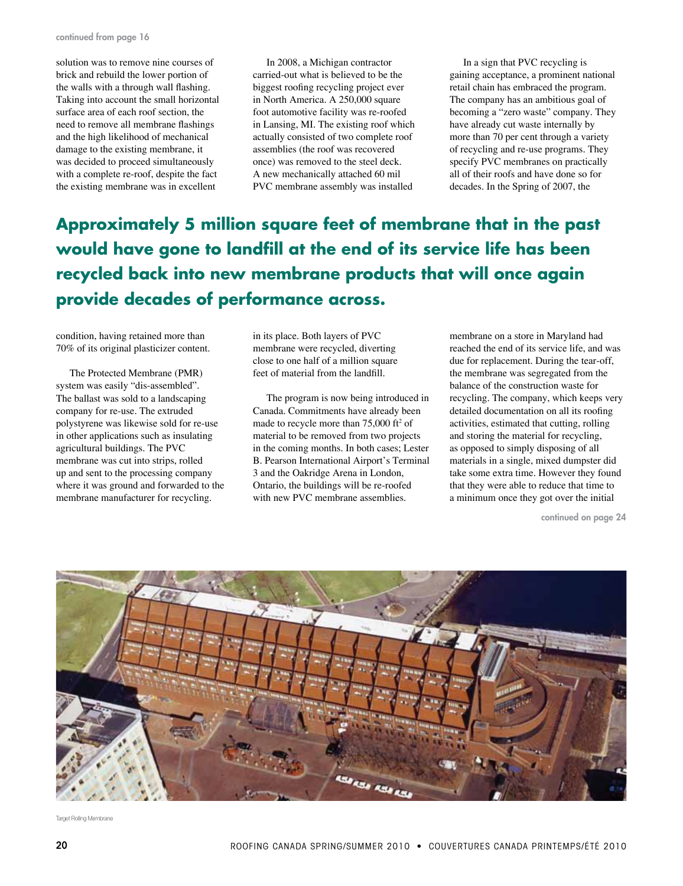solution was to remove nine courses of brick and rebuild the lower portion of the walls with a through wall flashing. Taking into account the small horizontal surface area of each roof section, the need to remove all membrane flashings and the high likelihood of mechanical damage to the existing membrane, it was decided to proceed simultaneously with a complete re-roof, despite the fact the existing membrane was in excellent

In 2008, a Michigan contractor carried-out what is believed to be the biggest roofing recycling project ever in North America. A 250,000 square foot automotive facility was re-roofed in Lansing, MI. The existing roof which actually consisted of two complete roof assemblies (the roof was recovered once) was removed to the steel deck. A new mechanically attached 60 mil PVC membrane assembly was installed

In a sign that PVC recycling is gaining acceptance, a prominent national retail chain has embraced the program. The company has an ambitious goal of becoming a "zero waste" company. They have already cut waste internally by more than 70 per cent through a variety of recycling and re-use programs. They specify PVC membranes on practically all of their roofs and have done so for decades. In the Spring of 2007, the

# **Approximately 5 million square feet of membrane that in the past would have gone to landfill at the end of its service life has been recycled back into new membrane products that will once again provide decades of performance across.**

condition, having retained more than 70% of its original plasticizer content.

The Protected Membrane (PMR) system was easily "dis-assembled". The ballast was sold to a landscaping company for re-use. The extruded polystyrene was likewise sold for re-use in other applications such as insulating agricultural buildings. The PVC membrane was cut into strips, rolled up and sent to the processing company where it was ground and forwarded to the membrane manufacturer for recycling.

in its place. Both layers of PVC membrane were recycled, diverting close to one half of a million square feet of material from the landfill.

The program is now being introduced in Canada. Commitments have already been made to recycle more than  $75,000$  ft<sup>2</sup> of material to be removed from two projects in the coming months. In both cases; Lester B. Pearson International Airport's Terminal 3 and the Oakridge Arena in London, Ontario, the buildings will be re-roofed with new PVC membrane assemblies.

membrane on a store in Maryland had reached the end of its service life, and was due for replacement. During the tear-off, the membrane was segregated from the balance of the construction waste for recycling. The company, which keeps very detailed documentation on all its roofing activities, estimated that cutting, rolling and storing the material for recycling, as opposed to simply disposing of all materials in a single, mixed dumpster did take some extra time. However they found that they were able to reduce that time to a minimum once they got over the initial

continued on page 24



Target Rolling Membrane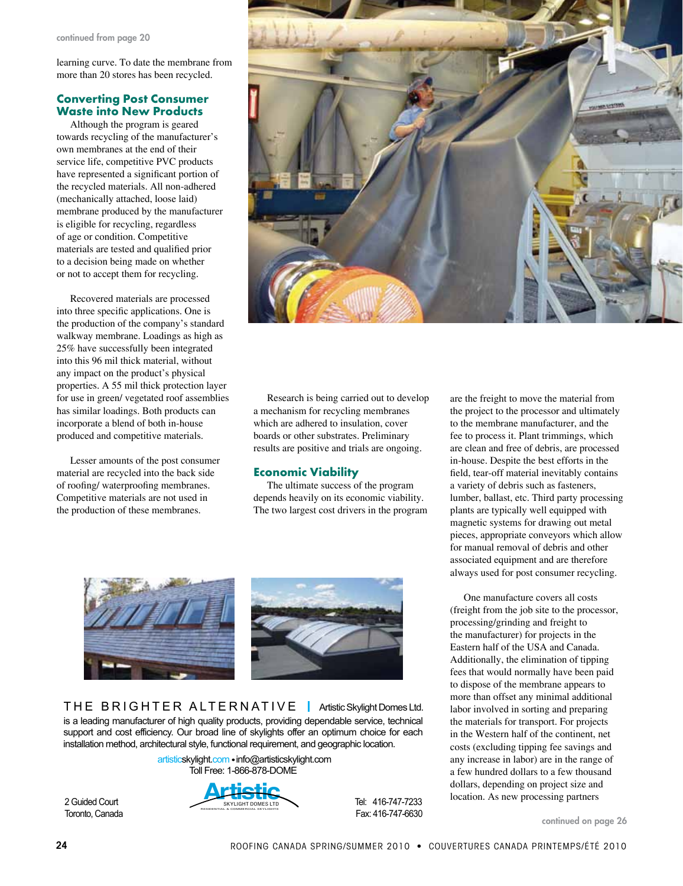continued from page 20

learning curve. To date the membrane from more than 20 stores has been recycled.

### **Converting Post Consumer Waste into New Products**

Although the program is geared towards recycling of the manufacturer's own membranes at the end of their service life, competitive PVC products have represented a significant portion of the recycled materials. All non-adhered (mechanically attached, loose laid) membrane produced by the manufacturer is eligible for recycling, regardless of age or condition. Competitive materials are tested and qualified prior to a decision being made on whether or not to accept them for recycling.

Recovered materials are processed into three specific applications. One is the production of the company's standard walkway membrane. Loadings as high as 25% have successfully been integrated into this 96 mil thick material, without any impact on the product's physical properties. A 55 mil thick protection layer for use in green/ vegetated roof assemblies has similar loadings. Both products can incorporate a blend of both in-house produced and competitive materials.

Lesser amounts of the post consumer material are recycled into the back side of roofing/ waterproofing membranes. Competitive materials are not used in the production of these membranes.



Research is being carried out to develop a mechanism for recycling membranes which are adhered to insulation, cover boards or other substrates. Preliminary results are positive and trials are ongoing.

### **Economic Viability**

The ultimate success of the program depends heavily on its economic viability. The two largest cost drivers in the program



support and cost eniciency. Our broad line or skylights oner an optimum choice for<br>installation method, architectural style, functional requirement, and geographic location. T H E  $\overline{B}$  R I G H T E R  $\overline{A}$  L T E R N AT I V E  $\overline{B}$  Artistic Skylight Domes Ltd. is a leading manufacturer of high quality products, providing dependable service, technical support and cost efficiency. Our broad line of skylights offer an optimum choice for each

Toll Free: 1-866-878-DOME artisticskylight.com .info@artisticskylight.com



Tel: 416-747-7233

are the freight to move the material from the project to the processor and ultimately to the membrane manufacturer, and the fee to process it. Plant trimmings, which are clean and free of debris, are processed in-house. Despite the best efforts in the field, tear-off material inevitably contains a variety of debris such as fasteners, lumber, ballast, etc. Third party processing plants are typically well equipped with magnetic systems for drawing out metal pieces, appropriate conveyors which allow for manual removal of debris and other associated equipment and are therefore always used for post consumer recycling.

One manufacture covers all costs (freight from the job site to the processor, processing/grinding and freight to the manufacturer) for projects in the Eastern half of the USA and Canada. Additionally, the elimination of tipping fees that would normally have been paid to dispose of the membrane appears to more than offset any minimal additional labor involved in sorting and preparing the materials for transport. For projects in the Western half of the continent, net costs (excluding tipping fee savings and any increase in labor) are in the range of a few hundred dollars to a few thousand dollars, depending on project size and location. As new processing partners

continued on page 26